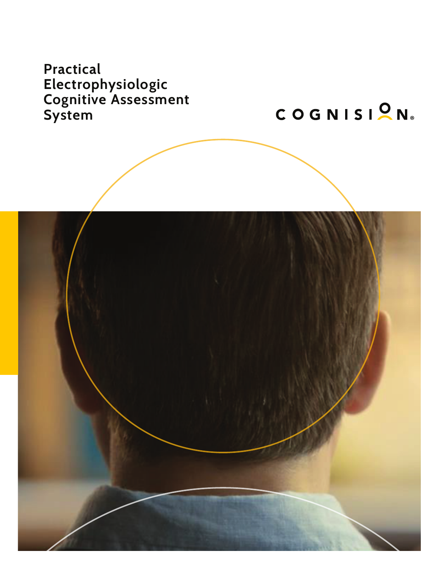# **Practical Electrophysiologic Cognitive Assessment System**

COGNISION®

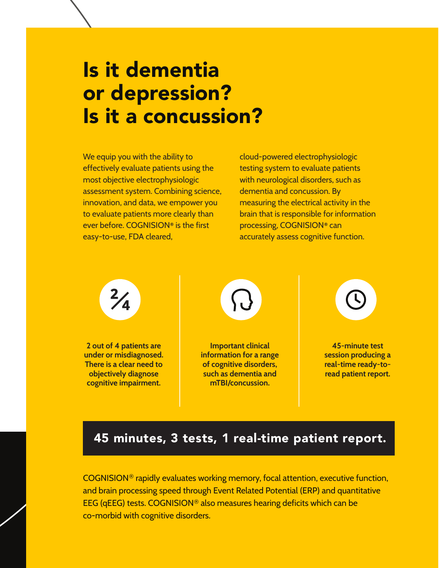# Is it dementia or depression? Is it a concussion?

We equip you with the ability to effectively evaluate patients using the most objective electrophysiologic assessment system. Combining science, innovation, and data, we empower you to evaluate patients more clearly than ever before. COGNISION**®** is the first easy-to-use, FDA cleared,

cloud-powered electrophysiologic testing system to evaluate patients with neurological disorders, such as dementia and concussion. By measuring the electrical activity in the brain that is responsible for information processing, COGNISION**®** can accurately assess cognitive function.

**2 out of 4 patients are under or misdiagnosed. There is a clear need to objectively diagnose cognitive impairment.**



**Important clinical information for a range of cognitive disorders, such as dementia and mTBI/concussion.** 



**45-minute test session producing a real-time ready-toread patient report.**

## 45 minutes, 3 tests, 1 real-time patient report.

COGNISION® rapidly evaluates working memory, focal attention, executive function, and brain processing speed through Event Related Potential (ERP) and quantitative EEG (qEEG) tests. COGNISION® also measures hearing deficits which can be co-morbid with cognitive disorders.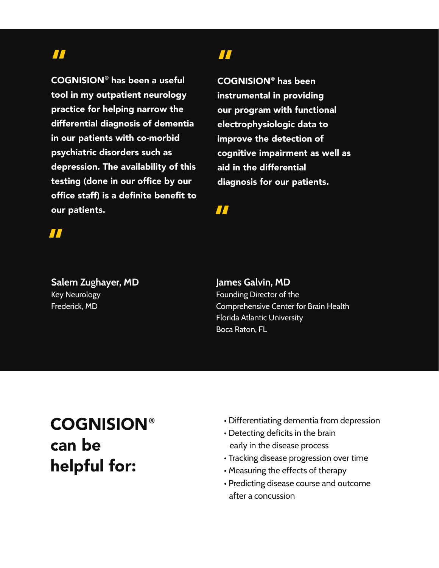### "

COGNISION**®** has been a useful tool in my outpatient neurology practice for helping narrow the differential diagnosis of dementia in our patients with co-morbid psychiatric disorders such as depression. The availability of this testing (done in our office by our office staff) is a definite benefit to our patients.

### "

COGNISION**®** has been instrumental in providing our program with functional electrophysiologic data to improve the detection of cognitive impairment as well as aid in the differential diagnosis for our patients.

"

## "

**Salem Zughayer, MD** Key Neurology Frederick, MD

#### **James Galvin, MD**

Founding Director of the Comprehensive Center for Brain Health Florida Atlantic University Boca Raton, FL

# COGNISION**®** can be helpful for:

- Differentiating dementia from depression
- Detecting deficits in the brain early in the disease process
- Tracking disease progression over time
- Measuring the effects of therapy
- Predicting disease course and outcome after a concussion